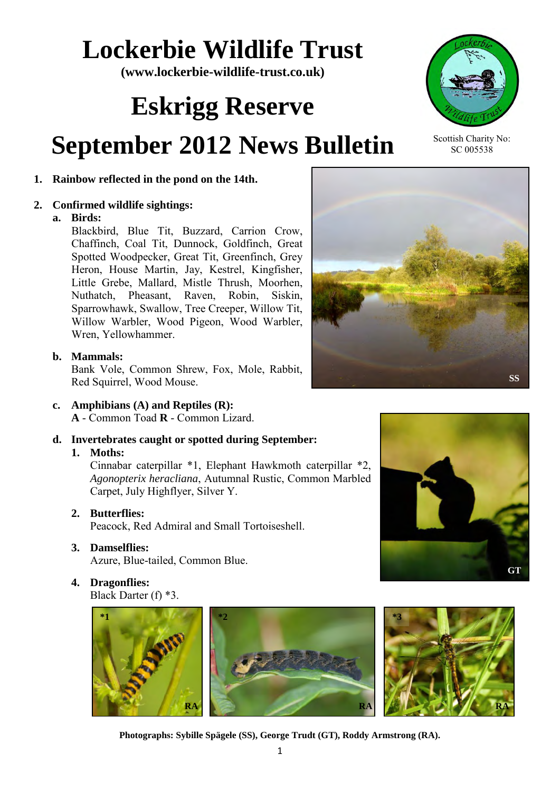# **Lockerbie Wildlife Trust**

**(www.lockerbie-wildlife-trust.co.uk)** 

# **Eskrigg Reserve**

# **September 2012 News Bulletin**

### **1. Rainbow reflected in the pond on the 14th.**

#### **2. Confirmed wildlife sightings:**

#### **a. Birds:**

Blackbird, Blue Tit, Buzzard, Carrion Crow, Chaffinch, Coal Tit, Dunnock, Goldfinch, Great Spotted Woodpecker, Great Tit, Greenfinch, Grey Heron, House Martin, Jay, Kestrel, Kingfisher, Little Grebe, Mallard, Mistle Thrush, Moorhen, Nuthatch, Pheasant, Raven, Robin, Siskin, Sparrowhawk, Swallow, Tree Creeper, Willow Tit, Willow Warbler, Wood Pigeon, Wood Warbler, Wren, Yellowhammer.

#### **b. Mammals:**

Bank Vole, Common Shrew, Fox, Mole, Rabbit, Red Squirrel, Wood Mouse.

- **c. Amphibians (A) and Reptiles (R): A** - Common Toad **R** - Common Lizard.
- **d. Invertebrates caught or spotted during September:**

#### **1. Moths:**

Cinnabar caterpillar \*1, Elephant Hawkmoth caterpillar \*2, *Agonopterix heracliana*, Autumnal Rustic, Common Marbled Carpet, July Highflyer, Silver Y.

 **2. Butterflies:**

Peacock, Red Admiral and Small Tortoiseshell.

### **3. Damselflies:**

Azure, Blue-tailed, Common Blue.

**4. Dragonflies:** 

Black Darter (f) \*3.



1 **Photographs: Sybille Spägele (SS), George Trudt (GT), Roddy Armstrong (RA).** 



Scottish Charity No: SC 005538





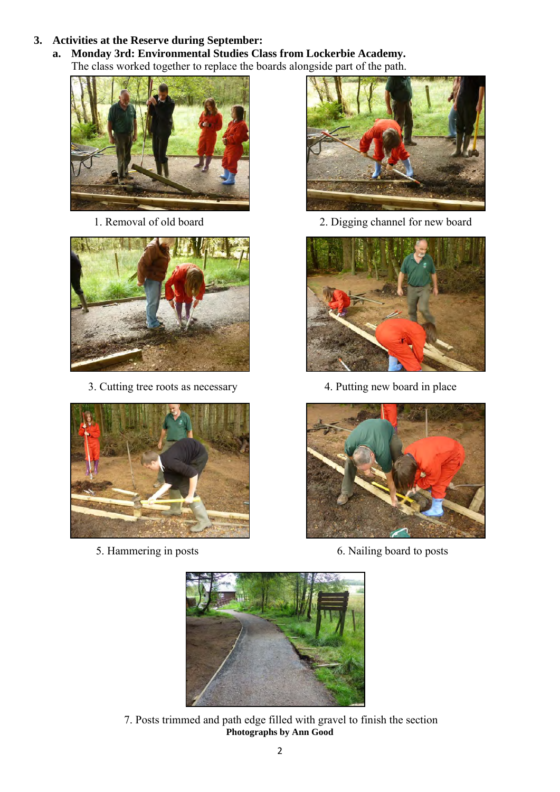#### **3. Activities at the Reserve during September:**

 **a. Monday 3rd: Environmental Studies Class from Lockerbie Academy.**  The class worked together to replace the boards alongside part of the path.





3. Cutting tree roots as necessary 4. Putting new board in place





1. Removal of old board 2. Digging channel for new board





5. Hammering in posts 6. Nailing board to posts



 7. Posts trimmed and path edge filled with gravel to finish the section **Photographs by Ann Good**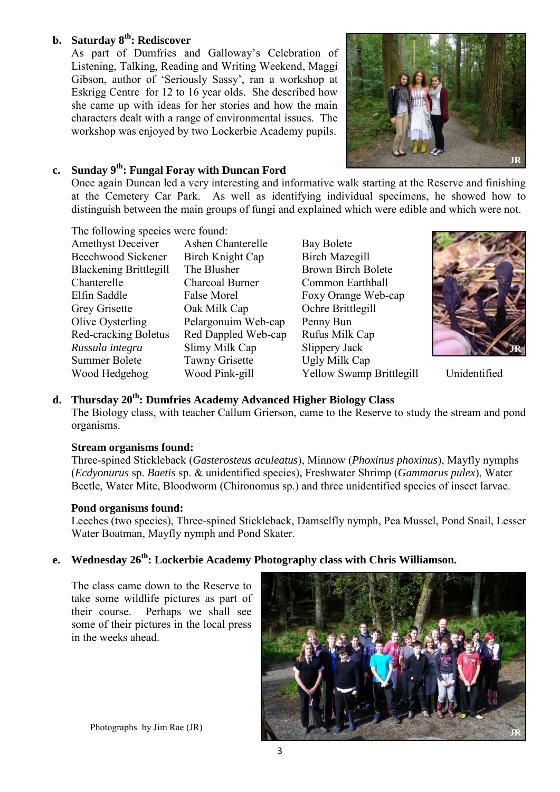#### **b. Saturday 8th: Rediscover**

As part of Dumfries and Galloway's Celebration of Listening, Talking, Reading and Writing Weekend, Maggi Gibson, author of 'Seriously Sassy', ran a workshop at Eskrigg Centre for 12 to 16 year olds. She described how she came up with ideas for her stories and how the main characters dealt with a range of environmental issues. The workshop was enjoyed by two Lockerbie Academy pupils.



#### **c. Sunday 9th: Fungal Foray with Duncan Ford**

Once again Duncan led a very interesting and informative walk starting at the Reserve and finishing at the Cemetery Car Park. As well as identifying individual specimens, he showed how to distinguish between the main groups of fungi and explained which were edible and which were not.

The following species were found:

| <b>Amethyst Deceiver</b>      | Ashen Chanterelle     |
|-------------------------------|-----------------------|
| Beechwood Sickener            | Birch Knight Cap      |
| <b>Blackening Brittlegill</b> | The Blusher           |
| Chanterelle                   | Charcoal Burner       |
| Elfin Saddle                  | False Morel           |
| <b>Grey Grisette</b>          | Oak Milk Cap          |
| Olive Oysterling              | Pelargonuim Web-cap   |
| Red-cracking Boletus          | Red Dappled Web-cap   |
| Russula integra               | Slimy Milk Cap        |
| <b>Summer Bolete</b>          | <b>Tawny Grisette</b> |
| Wood Hedgehog                 | Wood Pink-gill        |
|                               |                       |

Bay Bolete Birch Mazegill Brown Birch Bolete Common Earthball Foxy Orange Web-cap Ochre Brittlegill Penny Bun Rufus Milk Cap *Slippery Jack* Ugly Milk Cap Yellow Swamp Brittlegill Unidentified



#### **d. Thursday 20th: Dumfries Academy Advanced Higher Biology Class**

The Biology class, with teacher Callum Grierson, came to the Reserve to study the stream and pond organisms.

#### **Stream organisms found:**

Three-spined Stickleback (*Gasterosteus aculeatus*), Minnow (*Phoxinus phoxinus*), Mayfly nymphs (*Ecdyonurus* sp. *Baetis* sp. & unidentified species), Freshwater Shrimp (*Gammarus pulex*), Water Beetle, Water Mite, Bloodworm (Chironomus sp.) and three unidentified species of insect larvae.

#### **Pond organisms found:**

Leeches (two species), Three-spined Stickleback, Damselfly nymph, Pea Mussel, Pond Snail, Lesser Water Boatman, Mayfly nymph and Pond Skater.

## **e. Wednesday 26th: Lockerbie Academy Photography class with Chris Williamson.**

The class came down to the Reserve to take some wildlife pictures as part of their course. Perhaps we shall see some of their pictures in the local press in the weeks ahead.



Photographs by Jim Rae (JR)